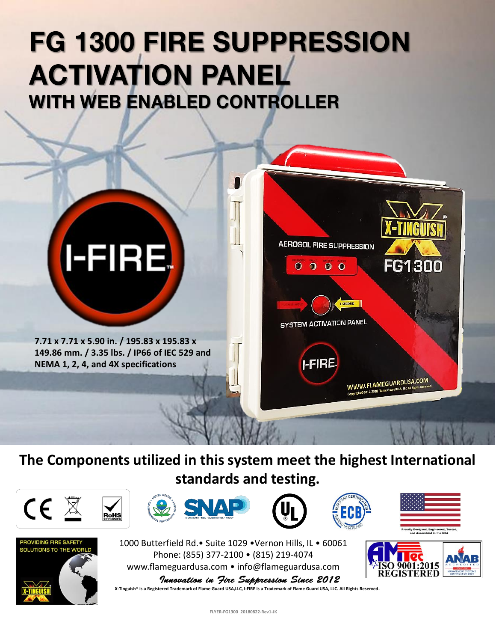## **FG 1300 FIRE SUPPRESSION ACTIVATION PANEL WITH WEB ENABLED CONTROLLER**



**The Components utilized in this system meet the highest International standards and testing.** 













1000 Butterfield Rd.• Suite 1029 •Vernon Hills, IL • 60061 Phone: (855) 377-2100 • (815) 219-4074 www.flameguardusa.com • info@flameguardusa.com

9001:2015

Innovation in Jire Suppression Since 2012 **X-Tinguish® is a Registered Trademark of Flame Guard USA,LLC, I-FIRE is a Trademark of Flame Guard USA, LLC. All Rights Reserved.**